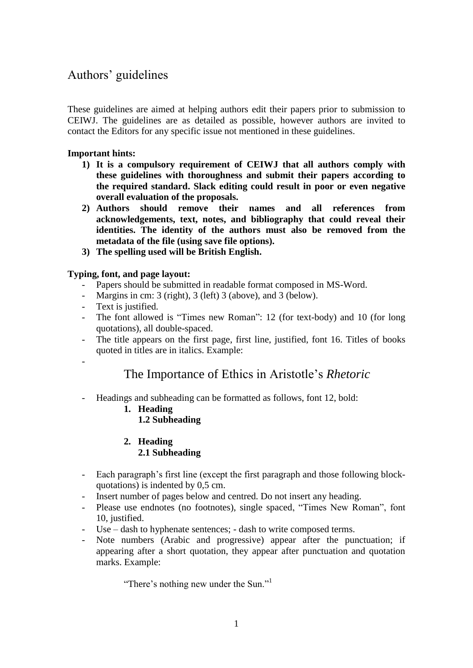# Authors" guidelines

These guidelines are aimed at helping authors edit their papers prior to submission to CEIWJ. The guidelines are as detailed as possible, however authors are invited to contact the Editors for any specific issue not mentioned in these guidelines.

## **Important hints:**

- **1) It is a compulsory requirement of CEIWJ that all authors comply with these guidelines with thoroughness and submit their papers according to the required standard. Slack editing could result in poor or even negative overall evaluation of the proposals.**
- **2) Authors should remove their names and all references from acknowledgements, text, notes, and bibliography that could reveal their identities. The identity of the authors must also be removed from the metadata of the file (using save file options).**
- **3) The spelling used will be British English.**

## **Typing, font, and page layout:**

- Papers should be submitted in readable format composed in MS-Word.
- Margins in cm: 3 (right), 3 (left) 3 (above), and 3 (below).
- Text is justified.
- The font allowed is "Times new Roman": 12 (for text-body) and 10 (for long quotations), all double-spaced.
- The title appears on the first page, first line, justified, font 16. Titles of books quoted in titles are in italics. Example:
- -

## The Importance of Ethics in Aristotle"s *Rhetoric*

- Headings and subheading can be formatted as follows, font 12, bold:
	- **1. Heading 1.2 Subheading**
	- **2. Heading 2.1 Subheading**
- Each paragraph"s first line (except the first paragraph and those following blockquotations) is indented by 0,5 cm.
- Insert number of pages below and centred. Do not insert any heading.
- Please use endnotes (no footnotes), single spaced, "Times New Roman", font 10, justified.
- Use dash to hyphenate sentences; dash to write composed terms.
- Note numbers (Arabic and progressive) appear after the punctuation; if appearing after a short quotation, they appear after punctuation and quotation marks. Example:

"There's nothing new under the Sun."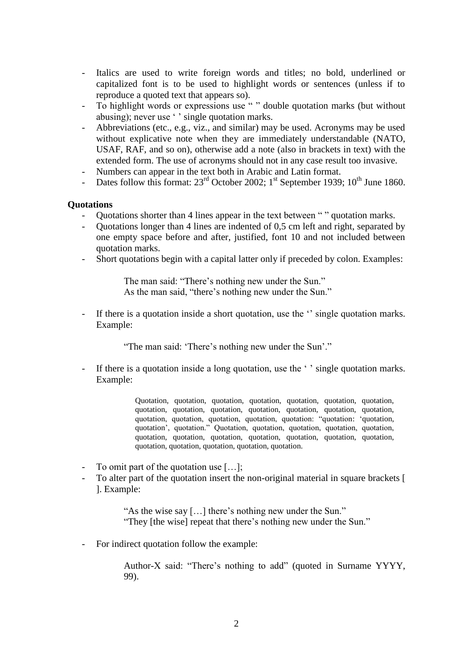- Italics are used to write foreign words and titles; no bold, underlined or capitalized font is to be used to highlight words or sentences (unless if to reproduce a quoted text that appears so).
- To highlight words or expressions use " " double quotation marks (but without abusing); never use ' ' single quotation marks.
- Abbreviations (etc., e.g., viz., and similar) may be used. Acronyms may be used without explicative note when they are immediately understandable (NATO, USAF, RAF, and so on), otherwise add a note (also in brackets in text) with the extended form. The use of acronyms should not in any case result too invasive.
- Numbers can appear in the text both in Arabic and Latin format.
- Dates follow this format:  $23<sup>rd</sup>$  October 2002; 1<sup>st</sup> September 1939; 10<sup>th</sup> June 1860.

#### **Quotations**

- Quotations shorter than 4 lines appear in the text between " " quotation marks.
- Quotations longer than 4 lines are indented of 0,5 cm left and right, separated by one empty space before and after, justified, font 10 and not included between quotation marks.
- Short quotations begin with a capital latter only if preceded by colon. Examples:

The man said: "There's nothing new under the Sun." As the man said, "there's nothing new under the Sun."

If there is a quotation inside a short quotation, use the " single quotation marks. Example:

"The man said: 'There's nothing new under the Sun'."

If there is a quotation inside a long quotation, use the ' ' single quotation marks. Example:

> Quotation, quotation, quotation, quotation, quotation, quotation, quotation, quotation, quotation, quotation, quotation, quotation, quotation, quotation, quotation, quotation, quotation, quotation, quotation: "quotation: "quotation, quotation", quotation." Quotation, quotation, quotation, quotation, quotation, quotation, quotation, quotation, quotation, quotation, quotation, quotation, quotation, quotation, quotation, quotation, quotation.

- To omit part of the quotation use  $[\dots]$ ;
- To alter part of the quotation insert the non-original material in square brackets [ ]. Example:

"As the wise say […] there"s nothing new under the Sun." "They [the wise] repeat that there"s nothing new under the Sun."

- For indirect quotation follow the example:

Author-X said: "There's nothing to add" (quoted in Surname YYYY, 99).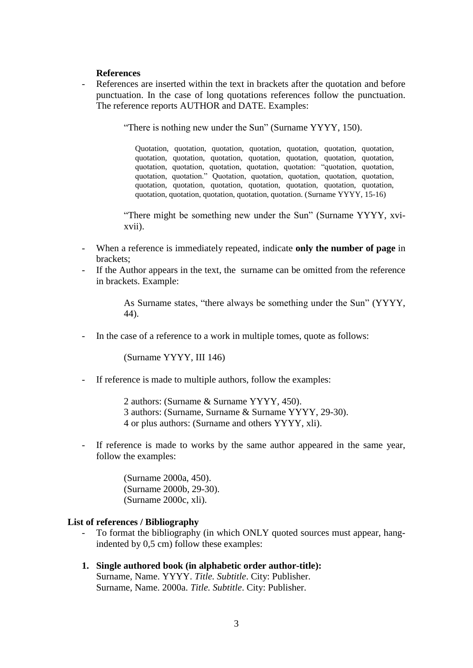### **References**

References are inserted within the text in brackets after the quotation and before punctuation. In the case of long quotations references follow the punctuation. The reference reports AUTHOR and DATE. Examples:

"There is nothing new under the Sun" (Surname YYYY, 150).

Quotation, quotation, quotation, quotation, quotation, quotation, quotation, quotation, quotation, quotation, quotation, quotation, quotation, quotation, quotation, quotation, quotation, quotation, quotation: "quotation, quotation, quotation, quotation." Quotation, quotation, quotation, quotation, quotation, quotation, quotation, quotation, quotation, quotation, quotation, quotation, quotation, quotation, quotation, quotation, quotation. (Surname YYYY, 15-16)

"There might be something new under the Sun" (Surname YYYY, xvixvii).

- When a reference is immediately repeated, indicate **only the number of page** in brackets;
- If the Author appears in the text, the surname can be omitted from the reference in brackets. Example:

As Surname states, "there always be something under the Sun" (YYYY, 44).

In the case of a reference to a work in multiple tomes, quote as follows:

(Surname YYYY, III 146)

- If reference is made to multiple authors, follow the examples:

2 authors: (Surname & Surname YYYY, 450). 3 authors: (Surname, Surname & Surname YYYY, 29-30). 4 or plus authors: (Surname and others YYYY, xli).

If reference is made to works by the same author appeared in the same year, follow the examples:

> (Surname 2000a, 450). (Surname 2000b, 29-30). (Surname 2000c, xli).

#### **List of references / Bibliography**

- To format the bibliography (in which ONLY quoted sources must appear, hangindented by 0,5 cm) follow these examples:
- **1. Single authored book (in alphabetic order author-title):** Surname, Name. YYYY. *Title. Subtitle*. City: Publisher. Surname, Name. 2000a. *Title. Subtitle*. City: Publisher.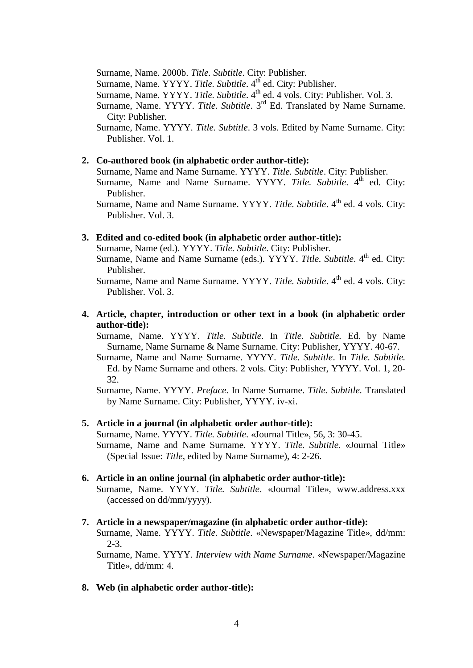Surname, Name. 2000b. *Title. Subtitle*. City: Publisher.

Surname, Name. YYYY. *Title. Subtitle*. 4<sup>th</sup> ed. City: Publisher.

Surname, Name. YYYY. Title. Subtitle. 4<sup>th</sup> ed. 4 vols. City: Publisher. Vol. 3.

Surname, Name. YYYY. *Title. Subtitle*. 3<sup>rd</sup> Ed. Translated by Name Surname. City: Publisher.

Surname, Name. YYYY. *Title. Subtitle*. 3 vols. Edited by Name Surname. City: Publisher. Vol. 1.

#### **2. Co-authored book (in alphabetic order author-title):**

Surname, Name and Name Surname. YYYY. *Title. Subtitle*. City: Publisher.

Surname, Name and Name Surname. YYYY. Title. Subtitle. 4<sup>th</sup> ed. City: Publisher.

Surname, Name and Name Surname. YYYY. *Title. Subtitle*. 4<sup>th</sup> ed. 4 vols. City: Publisher. Vol. 3.

### **3. Edited and co-edited book (in alphabetic order author-title):**

Surname, Name (ed.). YYYY. *Title. Subtitle*. City: Publisher.

Surname, Name and Name Surname (eds.). YYYY. *Title. Subtitle*. 4<sup>th</sup> ed. City: Publisher.

Surname, Name and Name Surname. YYYY. *Title. Subtitle*. 4<sup>th</sup> ed. 4 vols. City: Publisher. Vol. 3.

## **4. Article, chapter, introduction or other text in a book (in alphabetic order author-title):**

Surname, Name. YYYY. *Title. Subtitle*. In *Title. Subtitle.* Ed. by Name Surname, Name Surname & Name Surname. City: Publisher, YYYY. 40-67.

Surname, Name and Name Surname. YYYY. *Title. Subtitle*. In *Title. Subtitle.*  Ed. by Name Surname and others. 2 vols. City: Publisher, YYYY. Vol. 1, 20- 32.

Surname, Name. YYYY. *Preface*. In Name Surname. *Title. Subtitle.* Translated by Name Surname. City: Publisher, YYYY. iv-xi.

#### **5. Article in a journal (in alphabetic order author-title):**

Surname, Name. YYYY. *Title. Subtitle*. «Journal Title», 56, 3: 30-45. Surname, Name and Name Surname. YYYY. *Title. Subtitle*. «Journal Title» (Special Issue: *Title*, edited by Name Surname), 4: 2-26.

#### **6. Article in an online journal (in alphabetic order author-title):**

Surname, Name. YYYY. *Title. Subtitle*. «Journal Title», www.address.xxx (accessed on dd/mm/yyyy).

#### **7. Article in a newspaper/magazine (in alphabetic order author-title):**

Surname, Name. YYYY. *Title. Subtitle*. «Newspaper/Magazine Title», dd/mm: 2-3.

Surname, Name. YYYY. *Interview with Name Surname*. «Newspaper/Magazine Title», dd/mm: 4.

#### **8. Web (in alphabetic order author-title):**